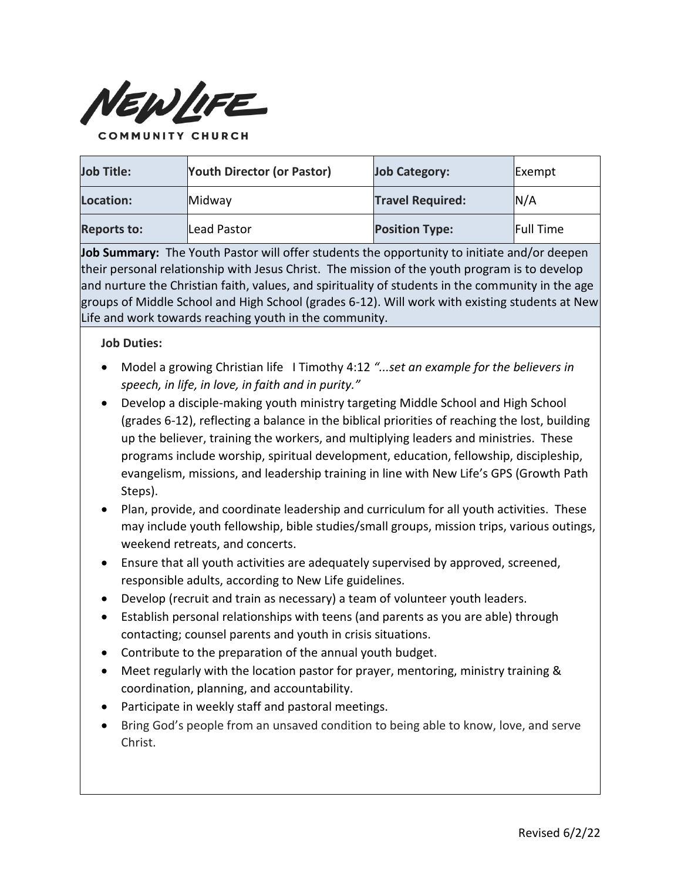

**Job Title: Youth Director (or Pastor) Job Category:** Exempt **Location: Midway Travel Required: N/A Reports to:** Lead Pastor **Position Type:** Full Time

**Job Summary:** The Youth Pastor will offer students the opportunity to initiate and/or deepen their personal relationship with Jesus Christ. The mission of the youth program is to develop and nurture the Christian faith, values, and spirituality of students in the community in the age groups of Middle School and High School (grades 6-12). Will work with existing students at New Life and work towards reaching youth in the community.

## **Job Duties:**

- Model a growing Christian life I Timothy 4:12 *"...set an example for the believers in speech, in life, in love, in faith and in purity."*
- Develop a disciple-making youth ministry targeting Middle School and High School (grades 6-12), reflecting a balance in the biblical priorities of reaching the lost, building up the believer, training the workers, and multiplying leaders and ministries. These programs include worship, spiritual development, education, fellowship, discipleship, evangelism, missions, and leadership training in line with New Life's GPS (Growth Path Steps).
- Plan, provide, and coordinate leadership and curriculum for all youth activities. These may include youth fellowship, bible studies/small groups, mission trips, various outings, weekend retreats, and concerts.
- Ensure that all youth activities are adequately supervised by approved, screened, responsible adults, according to New Life guidelines.
- Develop (recruit and train as necessary) a team of volunteer youth leaders.
- Establish personal relationships with teens (and parents as you are able) through contacting; counsel parents and youth in crisis situations.
- Contribute to the preparation of the annual youth budget.
- Meet regularly with the location pastor for prayer, mentoring, ministry training & coordination, planning, and accountability.
- Participate in weekly staff and pastoral meetings.
- Bring God's people from an unsaved condition to being able to know, love, and serve Christ.